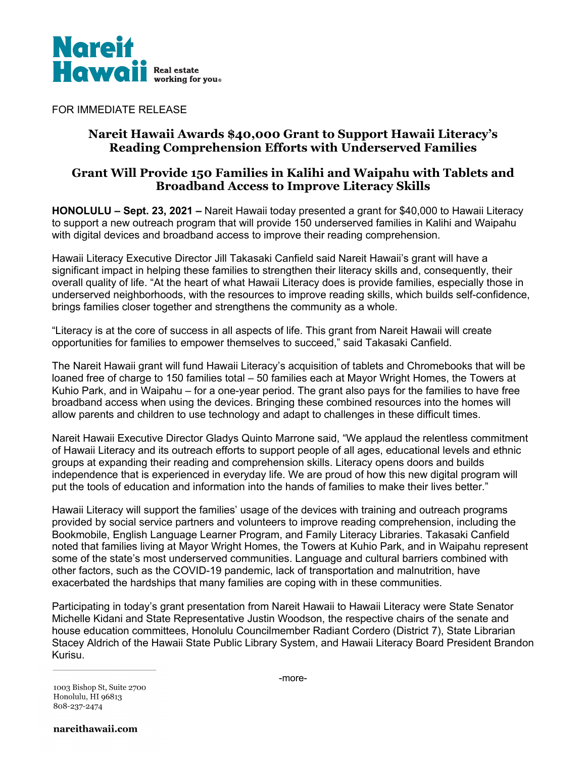

FOR IMMEDIATE RELEASE

# **Nareit Hawaii Awards \$40,000 Grant to Support Hawaii Literacy's Reading Comprehension Efforts with Underserved Families**

# **Grant Will Provide 150 Families in Kalihi and Waipahu with Tablets and Broadband Access to Improve Literacy Skills**

**HONOLULU – Sept. 23, 2021 –** Nareit Hawaii today presented a grant for \$40,000 to Hawaii Literacy to support a new outreach program that will provide 150 underserved families in Kalihi and Waipahu with digital devices and broadband access to improve their reading comprehension.

Hawaii Literacy Executive Director Jill Takasaki Canfield said Nareit Hawaii's grant will have a significant impact in helping these families to strengthen their literacy skills and, consequently, their overall quality of life. "At the heart of what Hawaii Literacy does is provide families, especially those in underserved neighborhoods, with the resources to improve reading skills, which builds self-confidence, brings families closer together and strengthens the community as a whole.

"Literacy is at the core of success in all aspects of life. This grant from Nareit Hawaii will create opportunities for families to empower themselves to succeed," said Takasaki Canfield.

The Nareit Hawaii grant will fund Hawaii Literacy's acquisition of tablets and Chromebooks that will be loaned free of charge to 150 families total – 50 families each at Mayor Wright Homes, the Towers at Kuhio Park, and in Waipahu – for a one-year period. The grant also pays for the families to have free broadband access when using the devices. Bringing these combined resources into the homes will allow parents and children to use technology and adapt to challenges in these difficult times.

Nareit Hawaii Executive Director Gladys Quinto Marrone said, "We applaud the relentless commitment of Hawaii Literacy and its outreach efforts to support people of all ages, educational levels and ethnic groups at expanding their reading and comprehension skills. Literacy opens doors and builds independence that is experienced in everyday life. We are proud of how this new digital program will put the tools of education and information into the hands of families to make their lives better."

Hawaii Literacy will support the families' usage of the devices with training and outreach programs provided by social service partners and volunteers to improve reading comprehension, including the Bookmobile, English Language Learner Program, and Family Literacy Libraries. Takasaki Canfield noted that families living at Mayor Wright Homes, the Towers at Kuhio Park, and in Waipahu represent some of the state's most underserved communities. Language and cultural barriers combined with other factors, such as the COVID-19 pandemic, lack of transportation and malnutrition, have exacerbated the hardships that many families are coping with in these communities.

Participating in today's grant presentation from Nareit Hawaii to Hawaii Literacy were State Senator Michelle Kidani and State Representative Justin Woodson, the respective chairs of the senate and house education committees, Honolulu Councilmember Radiant Cordero (District 7), State Librarian Stacey Aldrich of the Hawaii State Public Library System, and Hawaii Literacy Board President Brandon Kurisu.

1003 Bishop St, Suite 2700 Honolulu, HI 96813 808-237-2474

nareithawaii.com